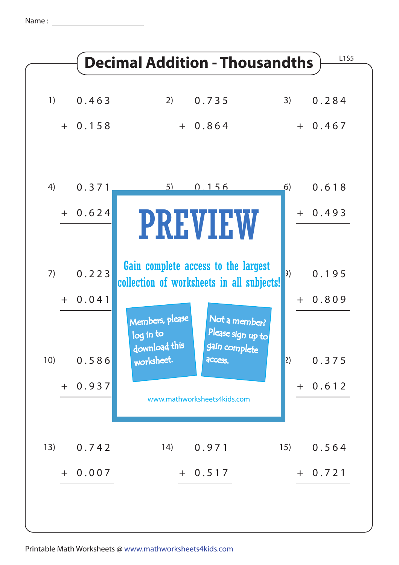